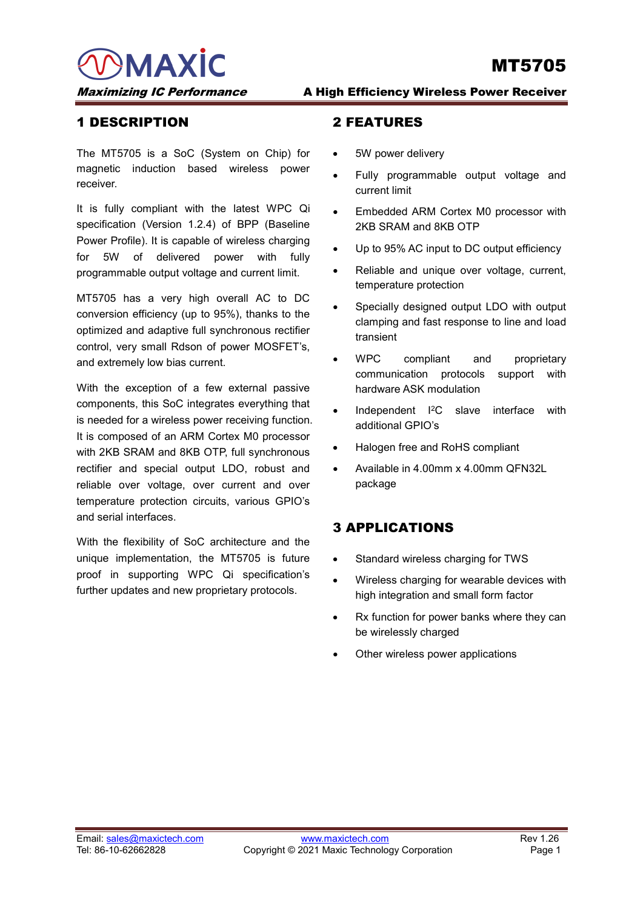**MAXIC** Maximizing IC Performance A High Efficiency Wireless Power Receiver

## 1 DESCRIPTION

The MT5705 is a SoC (System on Chip) for magnetic induction based wireless power receiver.

It is fully compliant with the latest WPC Qi specification (Version 1.2.4) of BPP (Baseline Power Profile). It is capable of wireless charging for 5W of delivered power with fully programmable output voltage and current limit.

MT5705 has a very high overall AC to DC conversion efficiency (up to 95%), thanks to the optimized and adaptive full synchronous rectifier control, very small Rdson of power MOSFET's, and extremely low bias current.

With the exception of a few external passive components, this SoC integrates everything that is needed for a wireless power receiving function. It is composed of an ARM Cortex M0 processor with 2KB SRAM and 8KB OTP, full synchronous rectifier and special output LDO, robust and reliable over voltage, over current and over temperature protection circuits, various GPIO's and serial interfaces.

With the flexibility of SoC architecture and the unique implementation, the MT5705 is future proof in supporting WPC Qi specification's further updates and new proprietary protocols.

### 2 FEATURES

- 5W power delivery
- Fully programmable output voltage and current limit
- Embedded ARM Cortex M0 processor with 2KB SRAM and 8KB OTP
- Up to 95% AC input to DC output efficiency
- Reliable and unique over voltage, current, temperature protection
- Specially designed output LDO with output clamping and fast response to line and load transient
- WPC compliant and proprietary communication protocols support with hardware ASK modulation
- Independent I2C slave interface with additional GPIO's
- Halogen free and RoHS compliant
- Available in 4.00mm x 4.00mm QFN32L package

# 3 APPLICATIONS

- Standard wireless charging for TWS
- Wireless charging for wearable devices with high integration and small form factor
- Rx function for power banks where they can be wirelessly charged
- Other wireless power applications